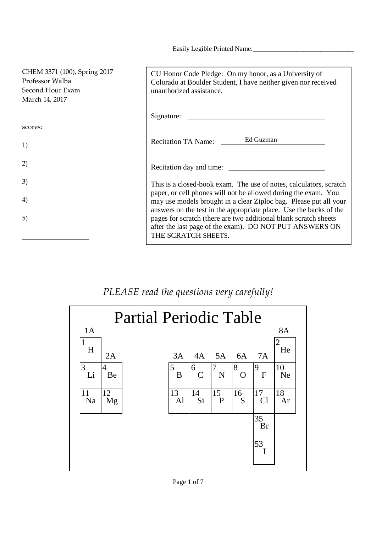Easily Legible Printed Name:

| CHEM 3371 (100), Spring 2017<br>Professor Walba<br>Second Hour Exam<br>March 14, 2017 | CU Honor Code Pledge: On my honor, as a University of<br>Colorado at Boulder Student, I have neither given nor received<br>unauthorized assistance.                                                                                                                                                                                                                                                                       |
|---------------------------------------------------------------------------------------|---------------------------------------------------------------------------------------------------------------------------------------------------------------------------------------------------------------------------------------------------------------------------------------------------------------------------------------------------------------------------------------------------------------------------|
|                                                                                       | Signature: $\frac{1}{\sqrt{1-\frac{1}{\sqrt{1-\frac{1}{\sqrt{1-\frac{1}{\sqrt{1-\frac{1}{\sqrt{1-\frac{1}{\sqrt{1-\frac{1}{\sqrt{1-\frac{1}{\sqrt{1-\frac{1}{\sqrt{1-\frac{1}{\sqrt{1-\frac{1}{\sqrt{1-\frac{1}{\sqrt{1-\frac{1}{\sqrt{1-\frac{1}{\sqrt{1-\frac{1}{\sqrt{1-\frac{1}{\sqrt{1-\frac{1}{\sqrt{1-\frac{1}{\sqrt{1-\frac{1}{\sqrt{1-\frac{1}{\sqrt{1-\frac{1}{\sqrt{1-\frac{1}{\sqrt{1-\frac{1}{\sqrt{1-\frac$ |
| scores:                                                                               |                                                                                                                                                                                                                                                                                                                                                                                                                           |
| 1)                                                                                    | Ed Guzman<br><b>Recitation TA Name:</b>                                                                                                                                                                                                                                                                                                                                                                                   |
| 2)                                                                                    |                                                                                                                                                                                                                                                                                                                                                                                                                           |
| 3)                                                                                    | This is a closed-book exam. The use of notes, calculators, scratch                                                                                                                                                                                                                                                                                                                                                        |
| 4)                                                                                    | paper, or cell phones will not be allowed during the exam. You<br>may use models brought in a clear Ziploc bag. Please put all your<br>answers on the test in the appropriate place. Use the backs of the                                                                                                                                                                                                                 |
| 5)                                                                                    | pages for scratch (there are two additional blank scratch sheets<br>after the last page of the exam). DO NOT PUT ANSWERS ON<br>THE SCRATCH SHEETS.                                                                                                                                                                                                                                                                        |

## *PLEASE read the questions very carefully!*

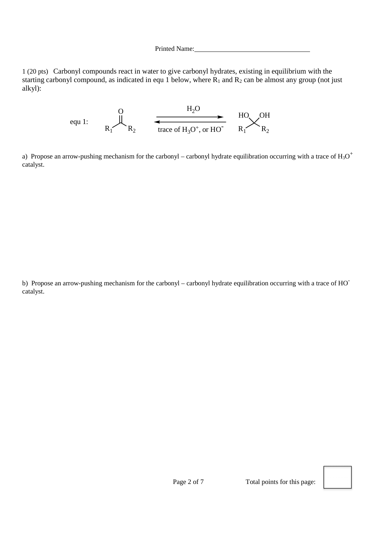1 (20 pts) Carbonyl compounds react in water to give carbonyl hydrates, existing in equilibrium with the starting carbonyl compound, as indicated in equ 1 below, where  $R_1$  and  $R_2$  can be almost any group (not just alkyl):



a) Propose an arrow-pushing mechanism for the carbonyl – carbonyl hydrate equilibration occurring with a trace of  $H_3O^+$ catalyst.

b) Propose an arrow-pushing mechanism for the carbonyl – carbonyl hydrate equilibration occurring with a trace of HOcatalyst.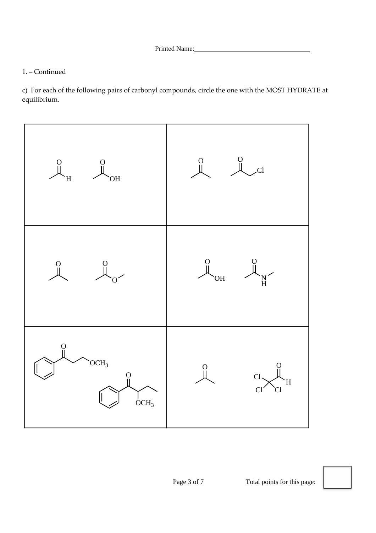## 1. – Continued

c) For each of the following pairs of carbonyl compounds, circle the one with the MOST HYDRATE at equilibrium.

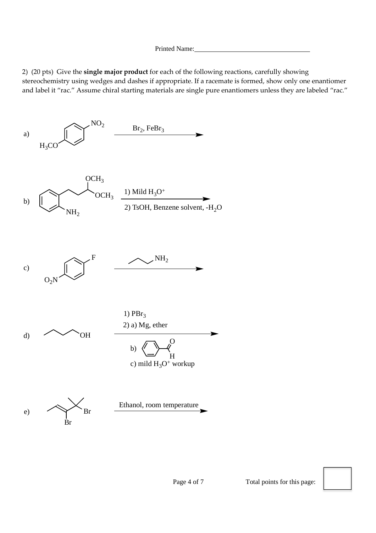2) (20 pts) Give the **single major product** for each of the following reactions, carefully showing stereochemistry using wedges and dashes if appropriate. If a racemate is formed, show only one enantiomer and label it "rac." Assume chiral starting materials are single pure enantiomers unless they are labeled "rac."

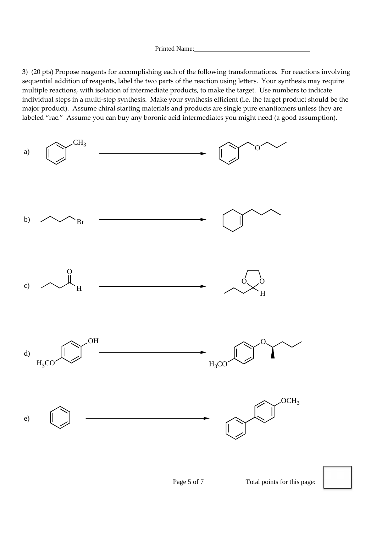3) (20 pts) Propose reagents for accomplishing each of the following transformations. For reactions involving sequential addition of reagents, label the two parts of the reaction using letters. Your synthesis may require multiple reactions, with isolation of intermediate products, to make the target. Use numbers to indicate individual steps in a multi-step synthesis. Make your synthesis efficient (i.e. the target product should be the major product). Assume chiral starting materials and products are single pure enantiomers unless they are labeled "rac." Assume you can buy any boronic acid intermediates you might need (a good assumption).

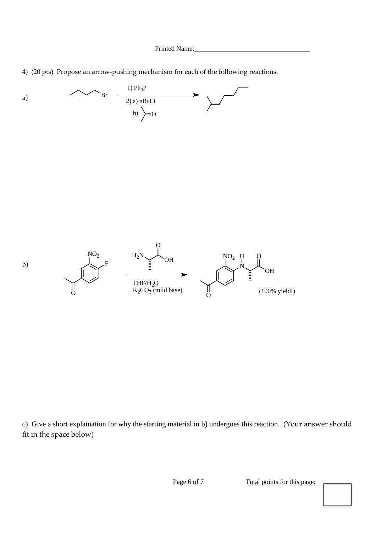4) (20 pts) Propose an arrow-pushing mechanism for each of the following reactions.



c) Give a short explaination for why the starting material in b) undergoes this reaction. (Your answer should fit in the space below)